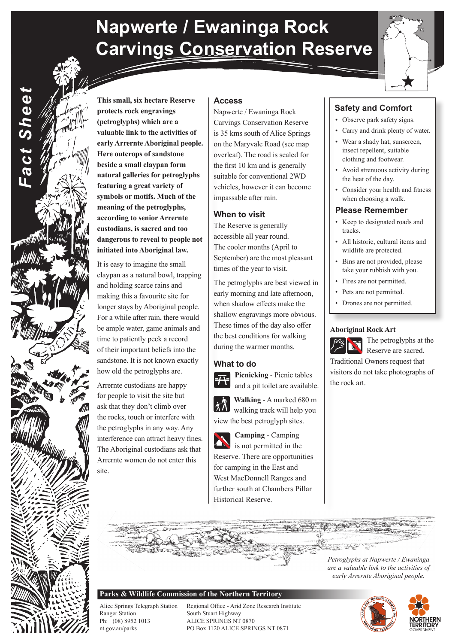## **Napwerte / Ewaninga Rock Carvings Conservation Reserve**

**Access**

Napwerte / Ewaninga Rock Carvings Conservation Reserve is 35 kms south of Alice Springs on the Maryvale Road (see map overleaf). The road is sealed for the first 10 km and is generally suitable for conventional 2WD vehicles, however it can become

impassable after rain.

The Reserve is generally accessible all year round. The cooler months (April to September) are the most pleasant

times of the year to visit.

The petroglyphs are best viewed in early morning and late afternoon, when shadow effects make the shallow engravings more obvious. These times of the day also offer the best conditions for walking during the warmer months.

**When to visit**



**Safety and Comfort**

- Observe park safety signs.
- Carry and drink plenty of water.
- Wear a shady hat, sunscreen, insect repellent, suitable clothing and footwear.
- Avoid strenuous activity during the heat of the day.
- Consider your health and fitness when choosing a walk.

### **Please Remember**

- Keep to designated roads and tracks.
- All historic, cultural items and wildlife are protected.
- Bins are not provided, please take your rubbish with you.
- Fires are not permitted.
- Pets are not permitted.
- Drones are not permitted.

#### **Aboriginal Rock Art**



The petroglyphs at the Reserve are sacred.

Traditional Owners request that visitors do not take photographs of the rock art.

**This small, six hectare Reserve protects rock engravings (petroglyphs) which are a valuable link to the activities of early Arrernte Aboriginal people. Here outcrops of sandstone beside a small claypan form natural galleries for petroglyphs featuring a great variety of symbols or motifs. Much of the meaning of the petroglyphs, according to senior Arrernte custodians, is sacred and too dangerous to reveal to people not initiated into Aboriginal law.**

*Fact Sheet*

Fact Sheet

It is easy to imagine the small claypan as a natural bowl, trapping and holding scarce rains and making this a favourite site for longer stays by Aboriginal people. For a while after rain, there would be ample water, game animals and time to patiently peck a record of their important beliefs into the sandstone. It is not known exactly how old the petroglyphs are.

Arrernte custodians are happy for people to visit the site but ask that they don't climb over the rocks, touch or interfere with the petroglyphs in any way. Any interference can attract heavy fines. The Aboriginal custodians ask that Arrernte women do not enter this site.

**What to do Picnicking** - Picnic tables and a pit toilet are available.





is not permitted in the Reserve. There are opportunities for camping in the East and West MacDonnell Ranges and further south at Chambers Pillar Historical Reserve.

# *Petroglyphs at Napwerte / Ewaninga*

### **Parks & Wildlife Commission of the Northern Territory**

Ranger Station South Stuart Highway Ph: (08) 8952 1013 ALICE SPRINGS NT 0870

Alice Springs Telegraph Station Regional Office - Arid Zone Research Institute nt.gov.au/parks PO Box 1120 ALICE SPRINGS NT 0871



*are a valuable link to the activities of early Arrernte Aboriginal people.*